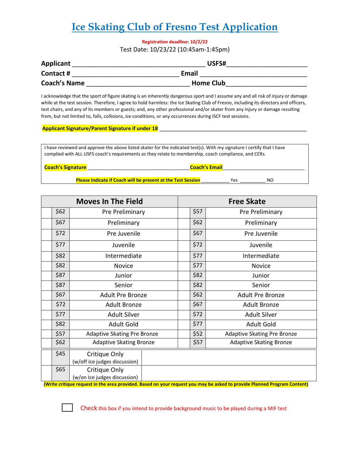# **Ice Skating Club of Fresno Test Application**

**Registration deadline: 10/2/22** 

Test Date: 10/23/22 (10:45am-1:45pm)

| Applicant           | USFS#            |
|---------------------|------------------|
| Contact #           | <b>Email</b>     |
| <b>Coach's Name</b> | <b>Home Club</b> |

I acknowledge that the sport of figure skating is an inherently dangerous sport and I assume any and all risk of injury or damage while at the test session. Therefore, I agree to hold harmless: the Ice Skating Club of Fresno, including its directors and officers, test chairs, and any of its members or guests; and, any other professional and/or skater from any injury or damage resulting from, but not limited to, falls, collisions, ice conditions, or any occurrences during ISCF test sessions.

#### **Applicant Signature/Parent Signature if under 18**

I have reviewed and approve the above listed skater for the indicated test(s). With my signature I certify that I have complied with ALL USFS coach's requirements as they relate to membership, coach compliance, and CERs.

| <b>Coach's Signature</b> | <b>Coach's Email</b>                                                |     |    |  |
|--------------------------|---------------------------------------------------------------------|-----|----|--|
|                          | <b>Please Indicate if Coach will be present at the Test Session</b> | ۷ρς | NO |  |

| <b>Moves In The Field</b> |                                                | <b>Free Skate</b> |                                    |  |
|---------------------------|------------------------------------------------|-------------------|------------------------------------|--|
| \$62                      | Pre Preliminary                                | \$57              | Pre Preliminary                    |  |
| \$67                      | Preliminary                                    | \$62              | Preliminary                        |  |
| \$72                      | Pre Juvenile                                   | \$67              | Pre Juvenile                       |  |
| \$77                      | Juvenile                                       | \$72              | Juvenile                           |  |
| \$82                      | Intermediate                                   | \$77              | Intermediate                       |  |
| \$82                      | <b>Novice</b>                                  | \$77              | <b>Novice</b>                      |  |
| \$87                      | Junior                                         | \$82              | Junior                             |  |
| \$87                      | Senior                                         | \$82              | Senior                             |  |
| \$67                      | <b>Adult Pre Bronze</b>                        | \$62              | <b>Adult Pre Bronze</b>            |  |
| \$72                      | <b>Adult Bronze</b>                            | \$67              | <b>Adult Bronze</b>                |  |
| \$77                      | <b>Adult Silver</b>                            | \$72              | <b>Adult Silver</b>                |  |
| \$82                      | <b>Adult Gold</b>                              | \$77              | <b>Adult Gold</b>                  |  |
| \$57                      | Adaptive Skating Pre Bronze                    | \$52              | <b>Adaptive Skating Pre Bronze</b> |  |
| \$62                      | <b>Adaptive Skating Bronze</b>                 | \$57              | <b>Adaptive Skating Bronze</b>     |  |
| \$45                      | Critique Only<br>(w/off ice judges discussion) |                   |                                    |  |
| \$65                      | Critique Only<br>(w/on Ice judges discussion)  |                   |                                    |  |

 **(Write critique request in the area provided. Based on your request you may be asked to provide Planned Program Content)**

Check this box if you intend to provide background music to be played during a MIF test